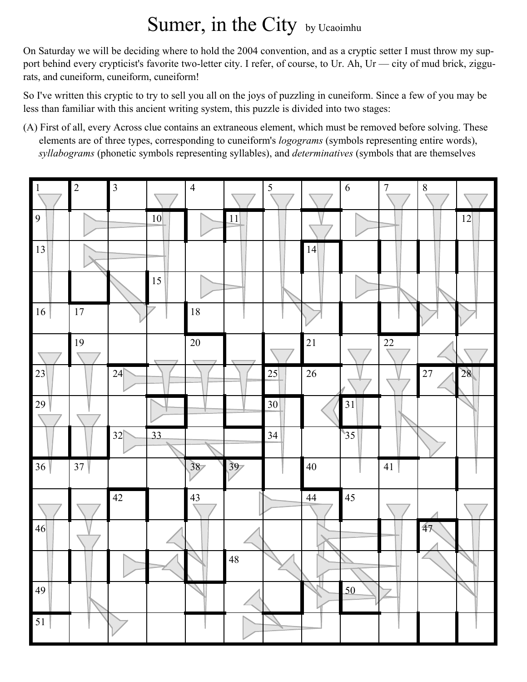## Sumer, in the City by Ucaoimhu

On Saturday we will be deciding where to hold the 2004 convention, and as a cryptic setter I must throw my support behind every crypticist's favorite two-letter city. I refer, of course, to Ur. Ah, Ur — city of mud brick, ziggurats, and cuneiform, cuneiform, cuneiform!

So I've written this cryptic to try to sell you all on the joys of puzzling in cuneiform. Since a few of you may be less than familiar with this ancient writing system, this puzzle is divided into two stages:

(A) First of all, every Across clue contains an extraneous element, which must be removed before solving. These elements are of three types, corresponding to cuneiform's *logograms* (symbols representing entire words), *syllabograms* (phonetic symbols representing syllables), and *determinatives* (symbols that are themselves